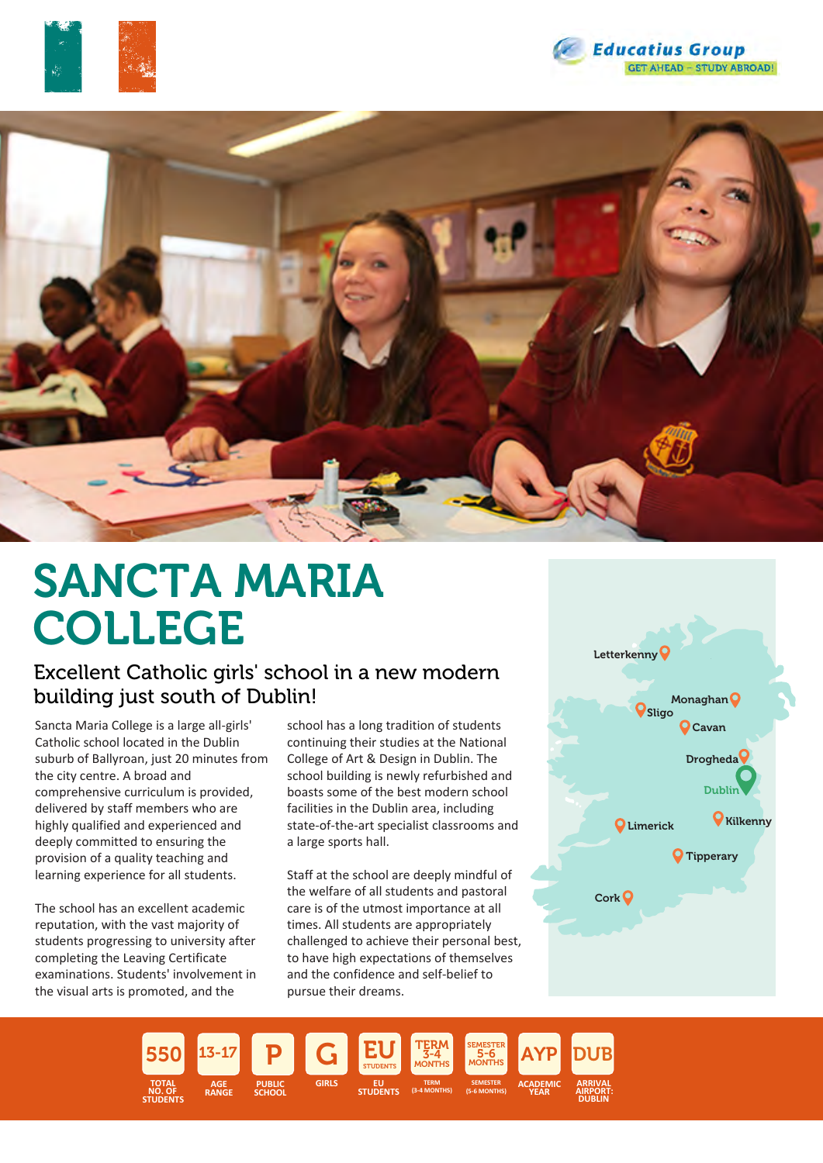





# SANCTA MARIA COLLEGE

## Excellent Catholic girls' school in a new modern building just south of Dublin!

Sancta Maria College is a large all-girls' Catholic school located in the Dublin suburb of Ballyroan, just 20 minutes from the city centre. A broad and comprehensive curriculum is provided, delivered by staff members who are highly qualified and experienced and deeply committed to ensuring the provision of a quality teaching and learning experience for all students.

The school has an excellent academic reputation, with the vast majority of students progressing to university after completing the Leaving Certificate examinations. Students' involvement in the visual arts is promoted, and the

school has a long tradition of students continuing their studies at the National College of Art & Design in Dublin. The school building is newly refurbished and boasts some of the best modern school facilities in the Dublin area, including state-of-the-art specialist classrooms and a large sports hall.

Staff at the school are deeply mindful of the welfare of all students and pastoral care is of the utmost importance at all times. All students are appropriately challenged to achieve their personal best, to have high expectations of themselves and the confidence and self-belief to pursue their dreams.



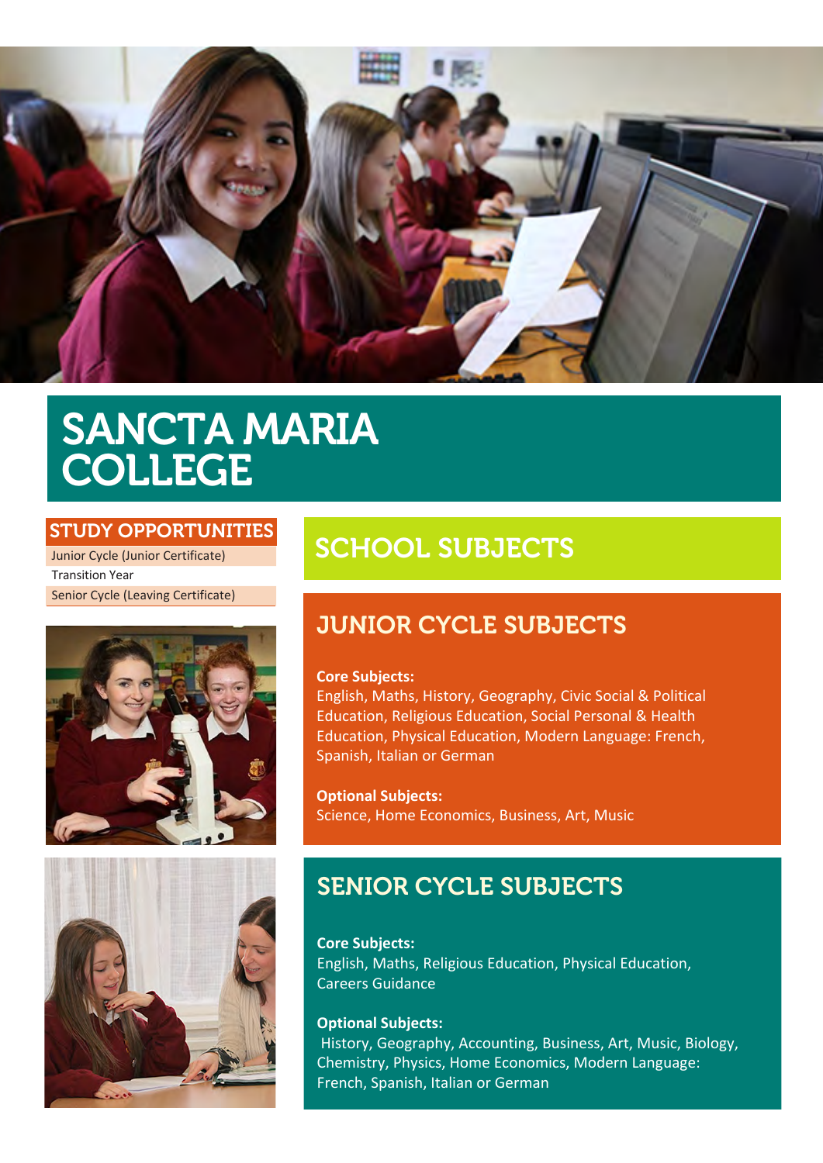

# SANCTA MARIA COLLEGE

### STUDY OPPORTUNITIES

Junior Cycle (Junior Certificate) Transition Year Senior Cycle (Leaving Certificate)





# SCHOOL SUBJECTS

## JUNIOR CYCLE SUBJECTS

#### **Core Subjects:**

English, Maths, History, Geography, Civic Social & Political Education, Religious Education, Social Personal & Health Education, Physical Education, Modern Language: French, Spanish, Italian or German

**Optional Subjects:** Science, Home Economics, Business, Art, Music

# SENIOR CYCLE SUBJECTS

**Core Subjects:** English, Maths, Religious Education, Physical Education, Careers Guidance

#### **Optional Subjects:**

 History, Geography, Accounting, Business, Art, Music, Biology, Chemistry, Physics, Home Economics, Modern Language: French, Spanish, Italian or German